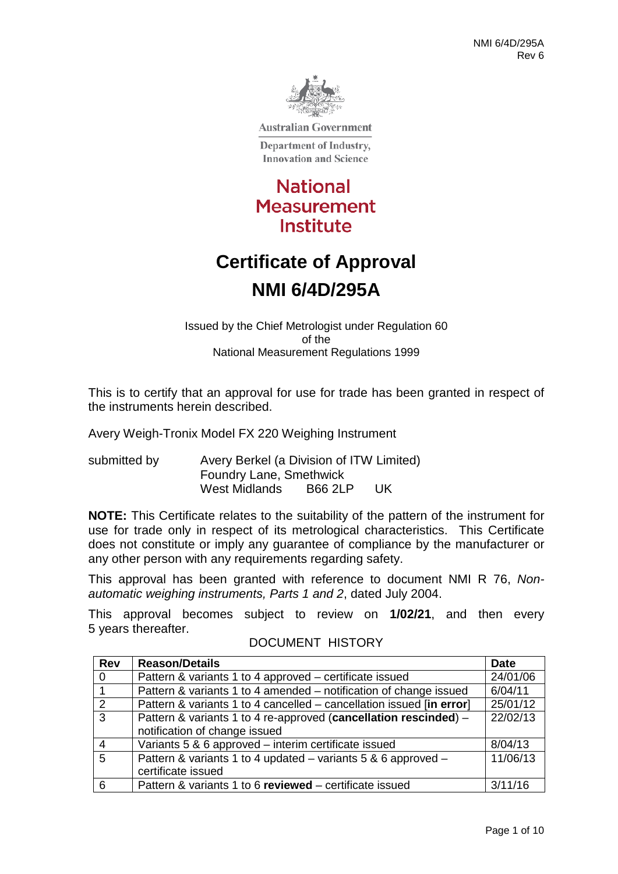

**Australian Government** 

Department of Industry, **Innovation and Science** 

**National Measurement** Institute

# **Certificate of Approval NMI 6/4D/295A**

Issued by the Chief Metrologist under Regulation 60 of the National Measurement Regulations 1999

This is to certify that an approval for use for trade has been granted in respect of the instruments herein described.

Avery Weigh-Tronix Model FX 220 Weighing Instrument

submitted by Avery Berkel (a Division of ITW Limited) Foundry Lane, Smethwick West Midlands B66 2LP UK

**NOTE:** This Certificate relates to the suitability of the pattern of the instrument for use for trade only in respect of its metrological characteristics. This Certificate does not constitute or imply any guarantee of compliance by the manufacturer or any other person with any requirements regarding safety.

This approval has been granted with reference to document NMI R 76, *Nonautomatic weighing instruments, Parts 1 and 2*, dated July 2004.

This approval becomes subject to review on **1/02/21**, and then every 5 years thereafter.

| <b>Rev</b>     | <b>Reason/Details</b>                                                | <b>Date</b> |
|----------------|----------------------------------------------------------------------|-------------|
| $\overline{0}$ | Pattern & variants 1 to 4 approved – certificate issued              | 24/01/06    |
| $\overline{1}$ | Pattern & variants 1 to 4 amended – notification of change issued    | 6/04/11     |
| $\overline{2}$ | Pattern & variants 1 to 4 cancelled – cancellation issued [in error] | 25/01/12    |
| $\overline{3}$ | Pattern & variants 1 to 4 re-approved (cancellation rescinded) -     | 22/02/13    |
|                | notification of change issued                                        |             |
| $\overline{4}$ | Variants 5 & 6 approved - interim certificate issued                 | 8/04/13     |
| $\overline{5}$ | Pattern & variants 1 to 4 updated - variants 5 & 6 approved -        | 11/06/13    |
|                | certificate issued                                                   |             |
| 6              | Pattern & variants 1 to 6 reviewed - certificate issued              | 3/11/16     |

### DOCUMENT HISTORY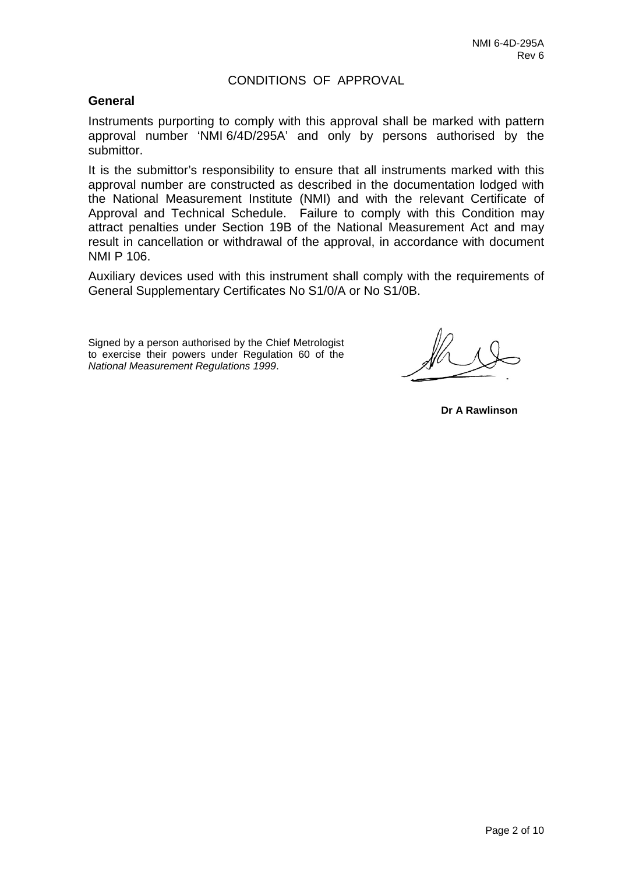### CONDITIONS OF APPROVAL

### **General**

Instruments purporting to comply with this approval shall be marked with pattern approval number 'NMI 6/4D/295A' and only by persons authorised by the submittor.

It is the submittor's responsibility to ensure that all instruments marked with this approval number are constructed as described in the documentation lodged with the National Measurement Institute (NMI) and with the relevant Certificate of Approval and Technical Schedule. Failure to comply with this Condition may attract penalties under Section 19B of the National Measurement Act and may result in cancellation or withdrawal of the approval, in accordance with document NMI P 106.

Auxiliary devices used with this instrument shall comply with the requirements of General Supplementary Certificates No S1/0/A or No S1/0B.

Signed by a person authorised by the Chief Metrologist to exercise their powers under Regulation 60 of the *National Measurement Regulations 1999*.

**Dr A Rawlinson**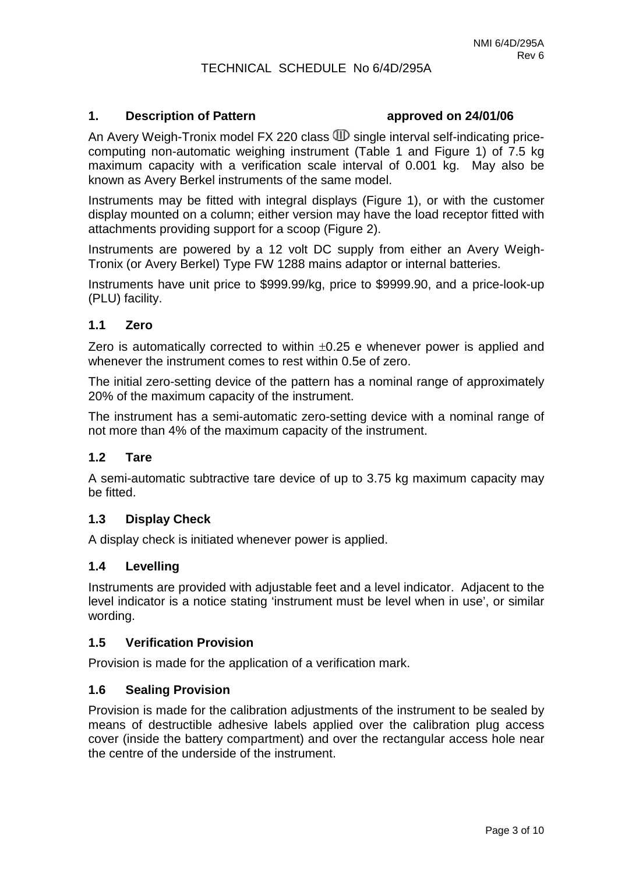### TECHNICAL SCHEDULE No 6/4D/295A

### **1. Description of Pattern approved on 24/01/06**

An Avery Weigh-Tronix model FX 220 class  $\mathbb{D}$  single interval self-indicating pricecomputing non-automatic weighing instrument (Table 1 and Figure 1) of 7.5 kg maximum capacity with a verification scale interval of 0.001 kg. May also be known as Avery Berkel instruments of the same model.

Instruments may be fitted with integral displays (Figure 1), or with the customer display mounted on a column; either version may have the load receptor fitted with attachments providing support for a scoop (Figure 2).

Instruments are powered by a 12 volt DC supply from either an Avery Weigh-Tronix (or Avery Berkel) Type FW 1288 mains adaptor or internal batteries.

Instruments have unit price to \$999.99/kg, price to \$9999.90, and a price-look-up (PLU) facility.

### **1.1 Zero**

Zero is automatically corrected to within  $\pm 0.25$  e whenever power is applied and whenever the instrument comes to rest within 0.5e of zero.

The initial zero-setting device of the pattern has a nominal range of approximately 20% of the maximum capacity of the instrument.

The instrument has a semi-automatic zero-setting device with a nominal range of not more than 4% of the maximum capacity of the instrument.

### **1.2 Tare**

A semi-automatic subtractive tare device of up to 3.75 kg maximum capacity may be fitted.

### **1.3 Display Check**

A display check is initiated whenever power is applied.

### **1.4 Levelling**

Instruments are provided with adjustable feet and a level indicator. Adjacent to the level indicator is a notice stating 'instrument must be level when in use', or similar wording.

### **1.5 Verification Provision**

Provision is made for the application of a verification mark.

### **1.6 Sealing Provision**

Provision is made for the calibration adjustments of the instrument to be sealed by means of destructible adhesive labels applied over the calibration plug access cover (inside the battery compartment) and over the rectangular access hole near the centre of the underside of the instrument.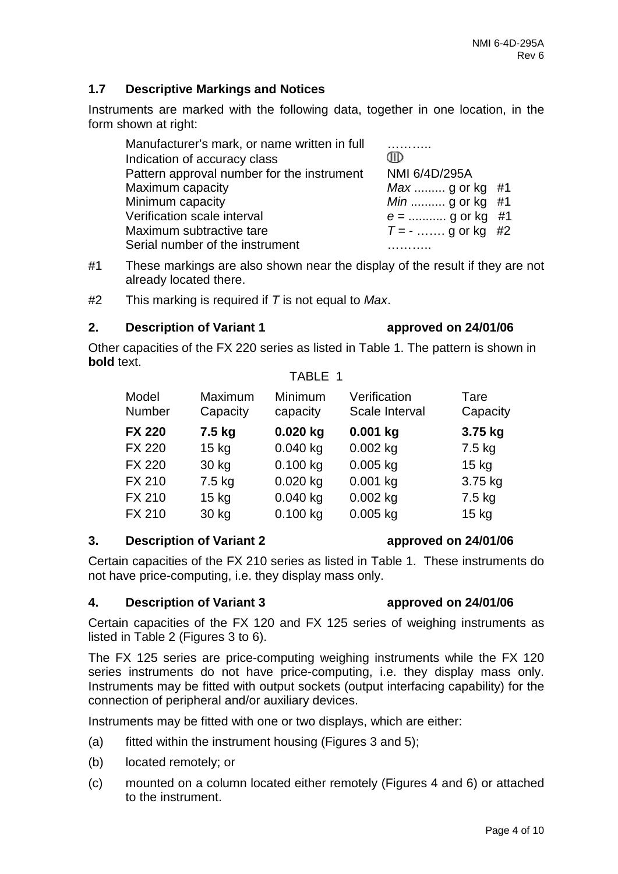### **1.7 Descriptive Markings and Notices**

Instruments are marked with the following data, together in one location, in the form shown at right:

| Manufacturer's mark, or name written in full |                       |
|----------------------------------------------|-----------------------|
| Indication of accuracy class                 | JID                   |
| Pattern approval number for the instrument   | NMI 6/4D/295A         |
| Maximum capacity                             | <i>Max</i> g or kg #1 |
| Minimum capacity                             | <i>Min</i> g or kg #1 |
| Verification scale interval                  | $e =$ g or kg #1      |
| Maximum subtractive tare                     | $T = -$ g or kg #2    |
| Serial number of the instrument              |                       |

- #1 These markings are also shown near the display of the result if they are not already located there.
- #2 This marking is required if *T* is not equal to *Max*.

### **2. Description of Variant 1 approved on 24/01/06**

Other capacities of the FX 220 series as listed in Table 1. The pattern is shown in **bold** text.

### TABLE 1

| Model<br><b>Number</b> | Maximum<br>Capacity | Minimum<br>capacity | Verification<br>Scale Interval | Tare<br>Capacity |
|------------------------|---------------------|---------------------|--------------------------------|------------------|
| <b>FX 220</b>          | 7.5 kg              | $0.020$ kg          | $0.001$ kg                     | 3.75 kg          |
| <b>FX 220</b>          | $15$ kg             | $0.040$ kg          | $0.002$ kg                     | 7.5 kg           |
| <b>FX 220</b>          | 30 kg               | $0.100$ kg          | $0.005$ kg                     | $15$ kg          |
| <b>FX 210</b>          | 7.5 kg              | $0.020$ kg          | $0.001$ kg                     | 3.75 kg          |
| <b>FX 210</b>          | $15$ kg             | $0.040$ kg          | $0.002$ kg                     | 7.5 kg           |
| <b>FX 210</b>          | 30 kg               | 0.100 kg            | $0.005$ kg                     | $15$ kg          |

### **3. Description of Variant 2 approved on 24/01/06**

Certain capacities of the FX 210 series as listed in Table 1. These instruments do not have price-computing, i.e. they display mass only.

### **4. Description of Variant 3 approved on 24/01/06**

Certain capacities of the FX 120 and FX 125 series of weighing instruments as listed in Table 2 (Figures 3 to 6).

The FX 125 series are price-computing weighing instruments while the FX 120 series instruments do not have price-computing, i.e. they display mass only. Instruments may be fitted with output sockets (output interfacing capability) for the connection of peripheral and/or auxiliary devices.

Instruments may be fitted with one or two displays, which are either:

- (a) fitted within the instrument housing (Figures 3 and 5);
- (b) located remotely; or
- (c) mounted on a column located either remotely (Figures 4 and 6) or attached to the instrument.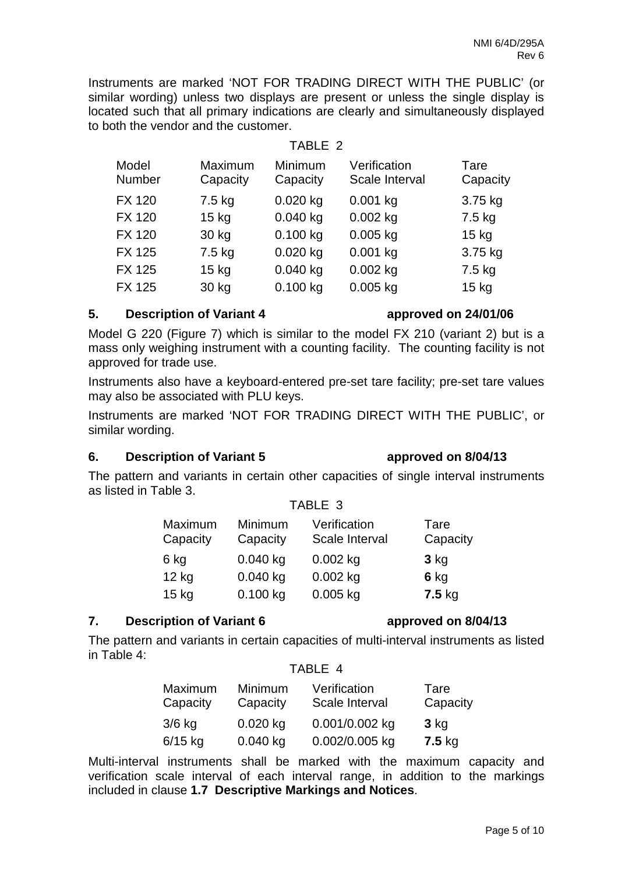Instruments are marked 'NOT FOR TRADING DIRECT WITH THE PUBLIC' (or similar wording) unless two displays are present or unless the single display is located such that all primary indications are clearly and simultaneously displayed to both the vendor and the customer.

TABLE 2

Model Maximum Minimum Verification Tare<br>
Number Capacity Capacity Scale Interval Capacity Capacity Capacity Scale Interval

FX 120 7.5 kg 0.020 kg 0.001 kg 3.75 kg FX 120 15 kg 0.040 kg 0.002 kg 7.5 kg FX 120 30 kg 0.100 kg 0.005 kg 15 kg FX 125 7.5 kg 0.020 kg 0.001 kg 3.75 kg FX 125 15 kg 0.040 kg 0.002 kg 7.5 kg FX 125 30 kg 0.100 kg 0.005 kg 15 kg

|  | <b>Description of Variant 4</b> |
|--|---------------------------------|

Model G 220 (Figure 7) which is similar to the model FX 210 (variant 2) but is a mass only weighing instrument with a counting facility. The counting facility is not approved for trade use.

Instruments also have a keyboard-entered pre-set tare facility; pre-set tare values may also be associated with PLU keys.

Instruments are marked 'NOT FOR TRADING DIRECT WITH THE PUBLIC', or similar wording.

### **6. Description of Variant 5 approved on 8/04/13**

The pattern and variants in certain other capacities of single interval instruments as listed in Table 3.

| TABLE 3 |  |                              |      |  |
|---------|--|------------------------------|------|--|
|         |  | Maximum Minimum Verification | Tare |  |

| Capacity | Capacity   | Scale Interval | Capacity |
|----------|------------|----------------|----------|
| 6 kg     | $0.040$ kg | $0.002$ kg     | $3$ kg   |
| $12$ kg  | $0.040$ kg | $0.002$ kg     | $6$ kg   |
| $15$ kg  | $0.100$ kg | $0.005$ kg     | $7.5$ kg |

### **7. Description of Variant 6 approved on 8/04/13**

The pattern and variants in certain capacities of multi-interval instruments as listed in Table 4:

### TABLE 4

| Maximum<br>Capacity | <b>Minimum</b><br>Capacity | Verification<br>Scale Interval | Tare<br>Capacity |
|---------------------|----------------------------|--------------------------------|------------------|
| $3/6$ kg            | $0.020$ kg                 | 0.001/0.002 kg                 | $3$ kg           |
| $6/15$ kg           | $0.040$ kg                 | 0.002/0.005 kg                 | $7.5$ kg         |

Multi-interval instruments shall be marked with the maximum capacity and verification scale interval of each interval range, in addition to the markings included in clause **1.7 Descriptive Markings and Notices**.

### **5. Description of Variant 4 approved on 24/01/06**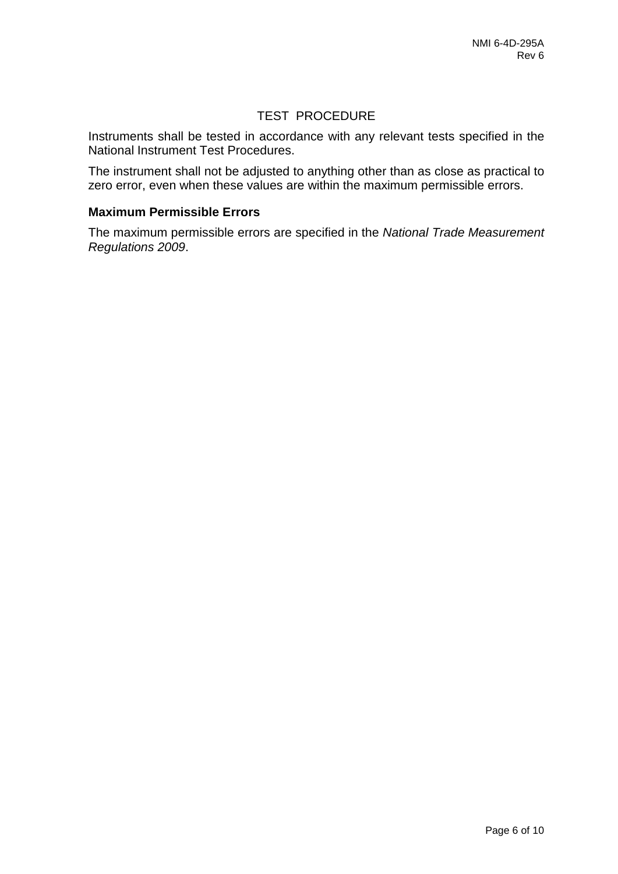### TEST PROCEDURE

Instruments shall be tested in accordance with any relevant tests specified in the National Instrument Test Procedures.

The instrument shall not be adjusted to anything other than as close as practical to zero error, even when these values are within the maximum permissible errors.

### **Maximum Permissible Errors**

The maximum permissible errors are specified in the *National Trade Measurement Regulations 2009*.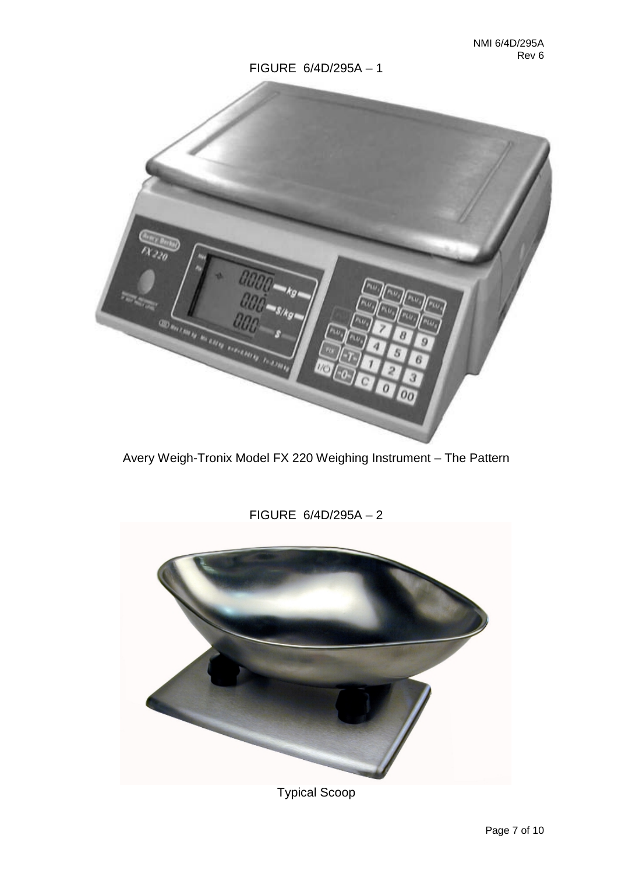

Avery Weigh-Tronix Model FX 220 Weighing Instrument – The Pattern



# Typical Scoop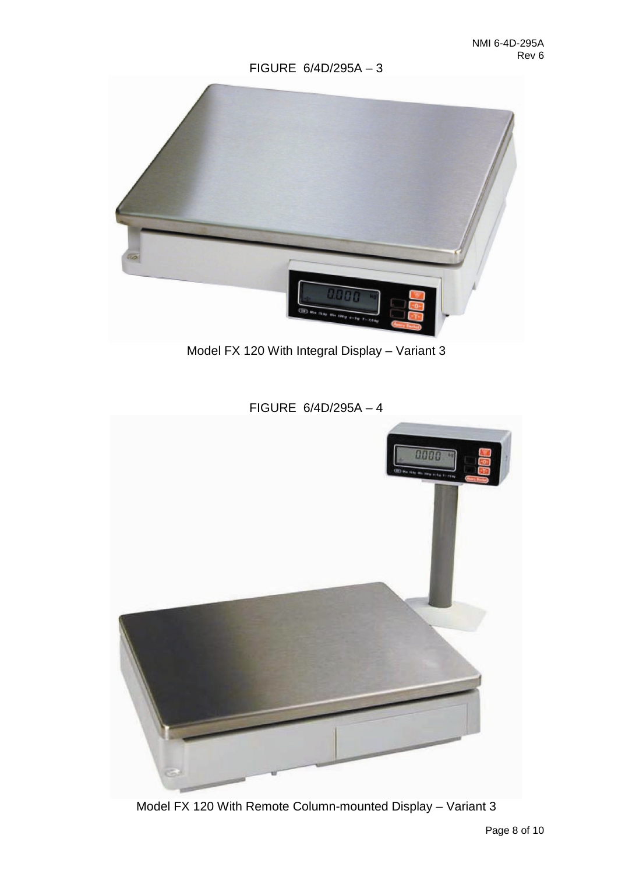

Model FX 120 With Integral Display – Variant 3



FIGURE 6/4D/295A – 4

Model FX 120 With Remote Column-mounted Display – Variant 3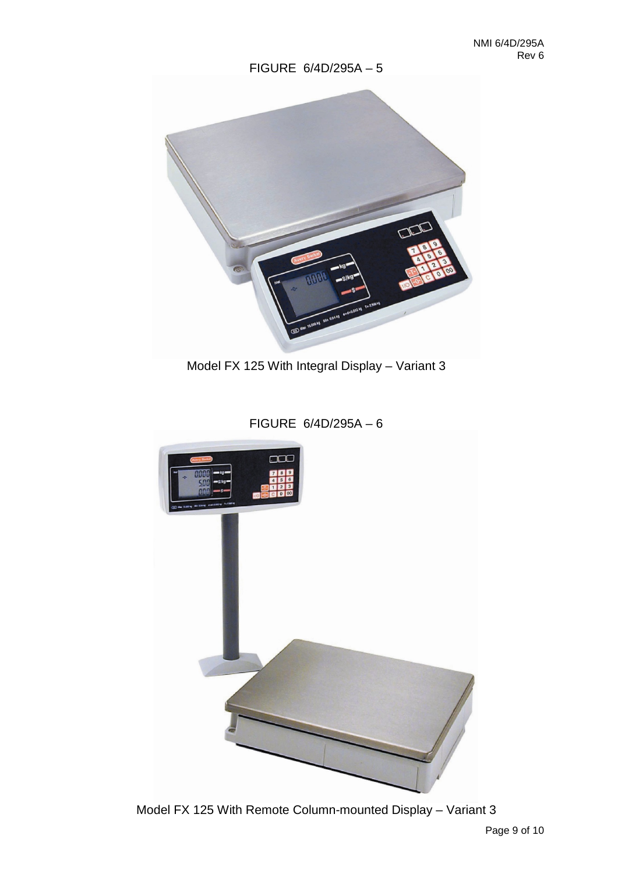

Model FX 125 With Integral Display – Variant 3

FIGURE 6/4D/295A – 6



Model FX 125 With Remote Column-mounted Display – Variant 3